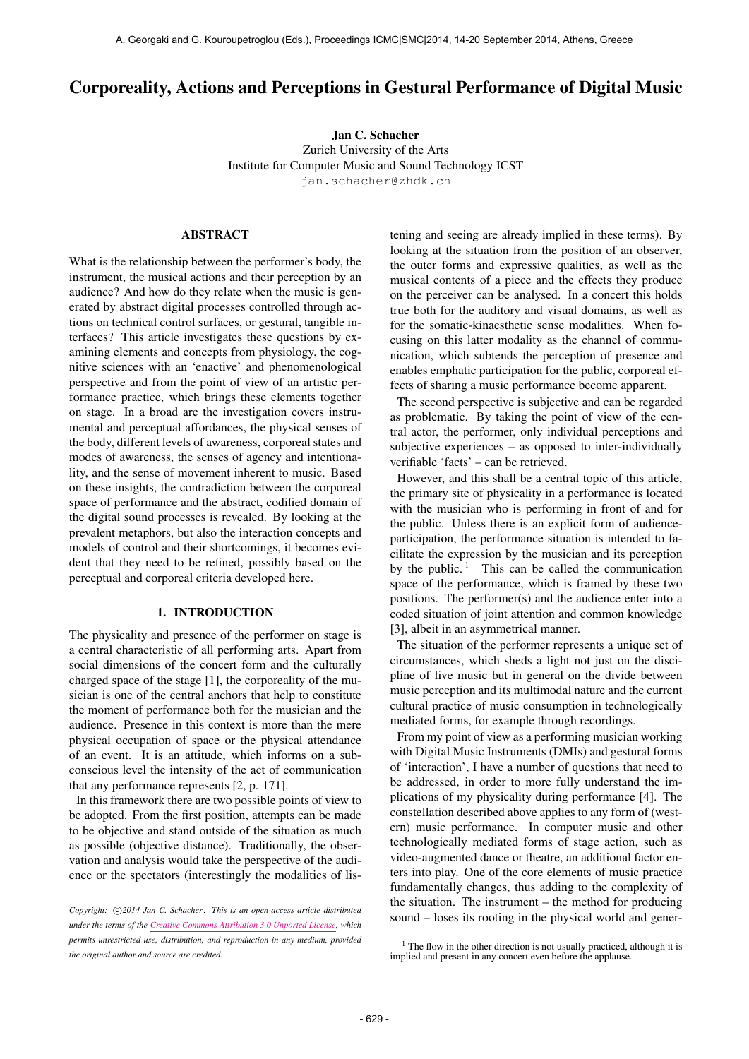# Corporeality, Actions and Perceptions in Gestural Performance of Digital Music

Jan C. Schacher Zurich University of the Arts Institute for Computer Music and Sound Technology ICST <jan.schacher@zhdk.ch>

### ABSTRACT

What is the relationship between the performer's body, the instrument, the musical actions and their perception by an audience? And how do they relate when the music is generated by abstract digital processes controlled through actions on technical control surfaces, or gestural, tangible interfaces? This article investigates these questions by examining elements and concepts from physiology, the cognitive sciences with an 'enactive' and phenomenological perspective and from the point of view of an artistic performance practice, which brings these elements together on stage. In a broad arc the investigation covers instrumental and perceptual affordances, the physical senses of the body, different levels of awareness, corporeal states and modes of awareness, the senses of agency and intentionality, and the sense of movement inherent to music. Based on these insights, the contradiction between the corporeal space of performance and the abstract, codified domain of the digital sound processes is revealed. By looking at the prevalent metaphors, but also the interaction concepts and models of control and their shortcomings, it becomes evident that they need to be refined, possibly based on the perceptual and corporeal criteria developed here.

# 1. INTRODUCTION

The physicality and presence of the performer on stage is a central characteristic of all performing arts. Apart from social dimensions of the concert form and the culturally charged space of the stage [1], the corporeality of the musician is one of the central anchors that help to constitute the moment of performance both for the musician and the audience. Presence in this context is more than the mere physical occupation of space or the physical attendance of an event. It is an attitude, which informs on a subconscious level the intensity of the act of communication that any performance represents [2, p. 171].

In this framework there are two possible points of view to be adopted. From the first position, attempts can be made to be objective and stand outside of the situation as much as possible (objective distance). Traditionally, the observation and analysis would take the perspective of the audience or the spectators (interestingly the modalities of listening and seeing are already implied in these terms). By looking at the situation from the position of an observer, the outer forms and expressive qualities, as well as the musical contents of a piece and the effects they produce on the perceiver can be analysed. In a concert this holds true both for the auditory and visual domains, as well as for the somatic-kinaesthetic sense modalities. When focusing on this latter modality as the channel of communication, which subtends the perception of presence and enables emphatic participation for the public, corporeal effects of sharing a music performance become apparent.

The second perspective is subjective and can be regarded as problematic. By taking the point of view of the central actor, the performer, only individual perceptions and subjective experiences – as opposed to inter-individually verifiable 'facts' – can be retrieved.

However, and this shall be a central topic of this article, the primary site of physicality in a performance is located with the musician who is performing in front of and for the public. Unless there is an explicit form of audienceparticipation, the performance situation is intended to facilitate the expression by the musician and its perception by the public.  $\frac{1}{1}$  This can be called the communication space of the performance, which is framed by these two positions. The performer(s) and the audience enter into a coded situation of joint attention and common knowledge [3], albeit in an asymmetrical manner.

The situation of the performer represents a unique set of circumstances, which sheds a light not just on the discipline of live music but in general on the divide between music perception and its multimodal nature and the current cultural practice of music consumption in technologically mediated forms, for example through recordings.

From my point of view as a performing musician working with Digital Music Instruments (DMIs) and gestural forms of 'interaction', I have a number of questions that need to be addressed, in order to more fully understand the implications of my physicality during performance [4]. The constellation described above applies to any form of (western) music performance. In computer music and other technologically mediated forms of stage action, such as video-augmented dance or theatre, an additional factor enters into play. One of the core elements of music practice fundamentally changes, thus adding to the complexity of the situation. The instrument – the method for producing sound – loses its rooting in the physical world and gener-

Copyright:  $\bigcirc$ 2014 Jan C. Schacher. This is an open-access article distributed *under the terms of the [Creative Commons Attribution 3.0 Unported License,](http://creativecommons.org/licenses/by/3.0/) which permits unrestricted use, distribution, and reproduction in any medium, provided the original author and source are credited.*

 $<sup>1</sup>$  The flow in the other direction is not usually practiced, although it is</sup> implied and present in any concert even before the applause.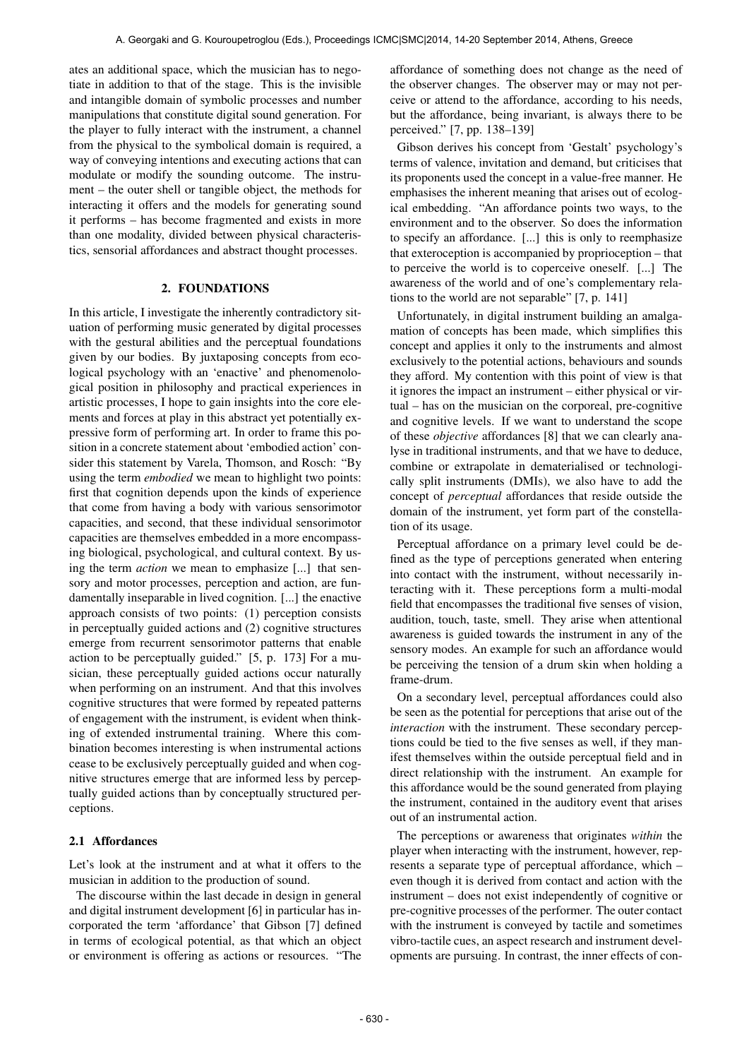ates an additional space, which the musician has to negotiate in addition to that of the stage. This is the invisible and intangible domain of symbolic processes and number manipulations that constitute digital sound generation. For the player to fully interact with the instrument, a channel from the physical to the symbolical domain is required, a way of conveying intentions and executing actions that can modulate or modify the sounding outcome. The instrument – the outer shell or tangible object, the methods for interacting it offers and the models for generating sound it performs – has become fragmented and exists in more than one modality, divided between physical characteristics, sensorial affordances and abstract thought processes.

### 2. FOUNDATIONS

In this article, I investigate the inherently contradictory situation of performing music generated by digital processes with the gestural abilities and the perceptual foundations given by our bodies. By juxtaposing concepts from ecological psychology with an 'enactive' and phenomenological position in philosophy and practical experiences in artistic processes, I hope to gain insights into the core elements and forces at play in this abstract yet potentially expressive form of performing art. In order to frame this position in a concrete statement about 'embodied action' consider this statement by Varela, Thomson, and Rosch: "By using the term *embodied* we mean to highlight two points: first that cognition depends upon the kinds of experience that come from having a body with various sensorimotor capacities, and second, that these individual sensorimotor capacities are themselves embedded in a more encompassing biological, psychological, and cultural context. By using the term *action* we mean to emphasize [...] that sensory and motor processes, perception and action, are fundamentally inseparable in lived cognition. [...] the enactive approach consists of two points: (1) perception consists in perceptually guided actions and (2) cognitive structures emerge from recurrent sensorimotor patterns that enable action to be perceptually guided." [5, p. 173] For a musician, these perceptually guided actions occur naturally when performing on an instrument. And that this involves cognitive structures that were formed by repeated patterns of engagement with the instrument, is evident when thinking of extended instrumental training. Where this combination becomes interesting is when instrumental actions cease to be exclusively perceptually guided and when cognitive structures emerge that are informed less by perceptually guided actions than by conceptually structured perceptions.

### 2.1 Affordances

Let's look at the instrument and at what it offers to the musician in addition to the production of sound.

The discourse within the last decade in design in general and digital instrument development [6] in particular has incorporated the term 'affordance' that Gibson [7] defined in terms of ecological potential, as that which an object or environment is offering as actions or resources. "The affordance of something does not change as the need of the observer changes. The observer may or may not perceive or attend to the affordance, according to his needs, but the affordance, being invariant, is always there to be perceived." [7, pp. 138–139]

Gibson derives his concept from 'Gestalt' psychology's terms of valence, invitation and demand, but criticises that its proponents used the concept in a value-free manner. He emphasises the inherent meaning that arises out of ecological embedding. "An affordance points two ways, to the environment and to the observer. So does the information to specify an affordance. [...] this is only to reemphasize that exteroception is accompanied by proprioception – that to perceive the world is to coperceive oneself. [...] The awareness of the world and of one's complementary relations to the world are not separable" [7, p. 141]

Unfortunately, in digital instrument building an amalgamation of concepts has been made, which simplifies this concept and applies it only to the instruments and almost exclusively to the potential actions, behaviours and sounds they afford. My contention with this point of view is that it ignores the impact an instrument – either physical or virtual – has on the musician on the corporeal, pre-cognitive and cognitive levels. If we want to understand the scope of these *objective* affordances [8] that we can clearly analyse in traditional instruments, and that we have to deduce, combine or extrapolate in dematerialised or technologically split instruments (DMIs), we also have to add the concept of *perceptual* affordances that reside outside the domain of the instrument, yet form part of the constellation of its usage.

Perceptual affordance on a primary level could be defined as the type of perceptions generated when entering into contact with the instrument, without necessarily interacting with it. These perceptions form a multi-modal field that encompasses the traditional five senses of vision, audition, touch, taste, smell. They arise when attentional awareness is guided towards the instrument in any of the sensory modes. An example for such an affordance would be perceiving the tension of a drum skin when holding a frame-drum.

On a secondary level, perceptual affordances could also be seen as the potential for perceptions that arise out of the *interaction* with the instrument. These secondary perceptions could be tied to the five senses as well, if they manifest themselves within the outside perceptual field and in direct relationship with the instrument. An example for this affordance would be the sound generated from playing the instrument, contained in the auditory event that arises out of an instrumental action.

The perceptions or awareness that originates *within* the player when interacting with the instrument, however, represents a separate type of perceptual affordance, which – even though it is derived from contact and action with the instrument – does not exist independently of cognitive or pre-cognitive processes of the performer. The outer contact with the instrument is conveyed by tactile and sometimes vibro-tactile cues, an aspect research and instrument developments are pursuing. In contrast, the inner effects of con-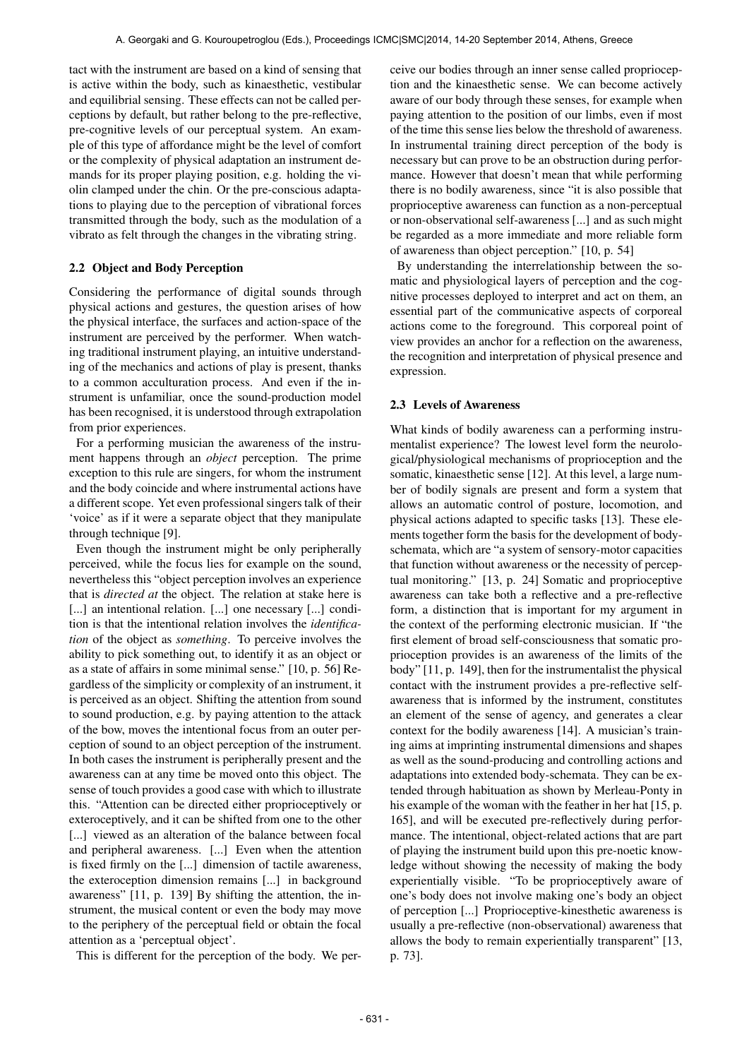tact with the instrument are based on a kind of sensing that is active within the body, such as kinaesthetic, vestibular and equilibrial sensing. These effects can not be called perceptions by default, but rather belong to the pre-reflective, pre-cognitive levels of our perceptual system. An example of this type of affordance might be the level of comfort or the complexity of physical adaptation an instrument demands for its proper playing position, e.g. holding the violin clamped under the chin. Or the pre-conscious adaptations to playing due to the perception of vibrational forces transmitted through the body, such as the modulation of a vibrato as felt through the changes in the vibrating string.

# 2.2 Object and Body Perception

Considering the performance of digital sounds through physical actions and gestures, the question arises of how the physical interface, the surfaces and action-space of the instrument are perceived by the performer. When watching traditional instrument playing, an intuitive understanding of the mechanics and actions of play is present, thanks to a common acculturation process. And even if the instrument is unfamiliar, once the sound-production model has been recognised, it is understood through extrapolation from prior experiences.

For a performing musician the awareness of the instrument happens through an *object* perception. The prime exception to this rule are singers, for whom the instrument and the body coincide and where instrumental actions have a different scope. Yet even professional singers talk of their 'voice' as if it were a separate object that they manipulate through technique [9].

Even though the instrument might be only peripherally perceived, while the focus lies for example on the sound, nevertheless this "object perception involves an experience that is *directed at* the object. The relation at stake here is [...] an intentional relation. [...] one necessary [...] condition is that the intentional relation involves the *identification* of the object as *something*. To perceive involves the ability to pick something out, to identify it as an object or as a state of affairs in some minimal sense." [10, p. 56] Regardless of the simplicity or complexity of an instrument, it is perceived as an object. Shifting the attention from sound to sound production, e.g. by paying attention to the attack of the bow, moves the intentional focus from an outer perception of sound to an object perception of the instrument. In both cases the instrument is peripherally present and the awareness can at any time be moved onto this object. The sense of touch provides a good case with which to illustrate this. "Attention can be directed either proprioceptively or exteroceptively, and it can be shifted from one to the other [...] viewed as an alteration of the balance between focal and peripheral awareness. [...] Even when the attention is fixed firmly on the [...] dimension of tactile awareness, the exteroception dimension remains [...] in background awareness" [11, p. 139] By shifting the attention, the instrument, the musical content or even the body may move to the periphery of the perceptual field or obtain the focal attention as a 'perceptual object'.

This is different for the perception of the body. We per-

ceive our bodies through an inner sense called proprioception and the kinaesthetic sense. We can become actively aware of our body through these senses, for example when paying attention to the position of our limbs, even if most of the time this sense lies below the threshold of awareness. In instrumental training direct perception of the body is necessary but can prove to be an obstruction during performance. However that doesn't mean that while performing there is no bodily awareness, since "it is also possible that proprioceptive awareness can function as a non-perceptual or non-observational self-awareness [...] and as such might be regarded as a more immediate and more reliable form of awareness than object perception." [10, p. 54]

By understanding the interrelationship between the somatic and physiological layers of perception and the cognitive processes deployed to interpret and act on them, an essential part of the communicative aspects of corporeal actions come to the foreground. This corporeal point of view provides an anchor for a reflection on the awareness, the recognition and interpretation of physical presence and expression.

# 2.3 Levels of Awareness

What kinds of bodily awareness can a performing instrumentalist experience? The lowest level form the neurological/physiological mechanisms of proprioception and the somatic, kinaesthetic sense [12]. At this level, a large number of bodily signals are present and form a system that allows an automatic control of posture, locomotion, and physical actions adapted to specific tasks [13]. These elements together form the basis for the development of bodyschemata, which are "a system of sensory-motor capacities that function without awareness or the necessity of perceptual monitoring." [13, p. 24] Somatic and proprioceptive awareness can take both a reflective and a pre-reflective form, a distinction that is important for my argument in the context of the performing electronic musician. If "the first element of broad self-consciousness that somatic proprioception provides is an awareness of the limits of the body" [11, p. 149], then for the instrumentalist the physical contact with the instrument provides a pre-reflective selfawareness that is informed by the instrument, constitutes an element of the sense of agency, and generates a clear context for the bodily awareness [14]. A musician's training aims at imprinting instrumental dimensions and shapes as well as the sound-producing and controlling actions and adaptations into extended body-schemata. They can be extended through habituation as shown by Merleau-Ponty in his example of the woman with the feather in her hat [15, p. 165], and will be executed pre-reflectively during performance. The intentional, object-related actions that are part of playing the instrument build upon this pre-noetic knowledge without showing the necessity of making the body experientially visible. "To be proprioceptively aware of one's body does not involve making one's body an object of perception [...] Proprioceptive-kinesthetic awareness is usually a pre-reflective (non-observational) awareness that allows the body to remain experientially transparent" [13, p. 73].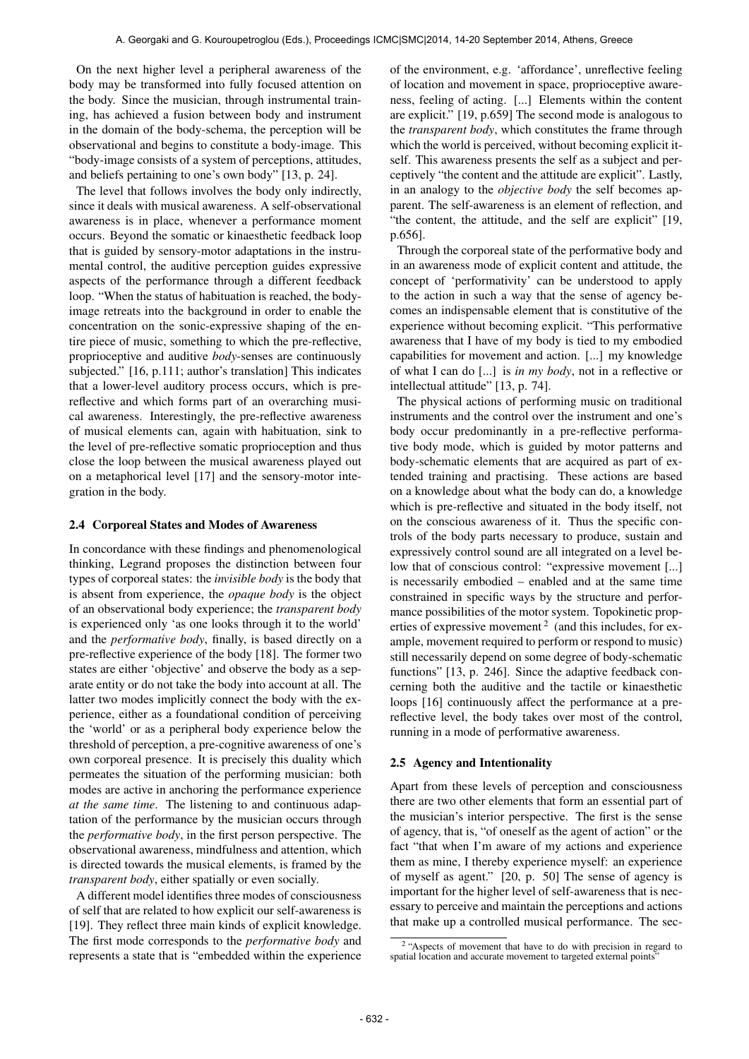On the next higher level a peripheral awareness of the body may be transformed into fully focused attention on the body. Since the musician, through instrumental training, has achieved a fusion between body and instrument in the domain of the body-schema, the perception will be observational and begins to constitute a body-image. This "body-image consists of a system of perceptions, attitudes, and beliefs pertaining to one's own body" [13, p. 24].

The level that follows involves the body only indirectly, since it deals with musical awareness. A self-observational awareness is in place, whenever a performance moment occurs. Beyond the somatic or kinaesthetic feedback loop that is guided by sensory-motor adaptations in the instrumental control, the auditive perception guides expressive aspects of the performance through a different feedback loop. "When the status of habituation is reached, the bodyimage retreats into the background in order to enable the concentration on the sonic-expressive shaping of the entire piece of music, something to which the pre-reflective, proprioceptive and auditive *body*-senses are continuously subjected." [16, p.111; author's translation] This indicates that a lower-level auditory process occurs, which is prereflective and which forms part of an overarching musical awareness. Interestingly, the pre-reflective awareness of musical elements can, again with habituation, sink to the level of pre-reflective somatic proprioception and thus close the loop between the musical awareness played out on a metaphorical level [17] and the sensory-motor integration in the body.

### 2.4 Corporeal States and Modes of Awareness

In concordance with these findings and phenomenological thinking, Legrand proposes the distinction between four types of corporeal states: the *invisible body* is the body that is absent from experience, the *opaque body* is the object of an observational body experience; the *transparent body* is experienced only 'as one looks through it to the world' and the *performative body*, finally, is based directly on a pre-reflective experience of the body [18]. The former two states are either 'objective' and observe the body as a separate entity or do not take the body into account at all. The latter two modes implicitly connect the body with the experience, either as a foundational condition of perceiving the 'world' or as a peripheral body experience below the threshold of perception, a pre-cognitive awareness of one's own corporeal presence. It is precisely this duality which permeates the situation of the performing musician: both modes are active in anchoring the performance experience *at the same time*. The listening to and continuous adaptation of the performance by the musician occurs through the *performative body*, in the first person perspective. The observational awareness, mindfulness and attention, which is directed towards the musical elements, is framed by the *transparent body*, either spatially or even socially.

A different model identifies three modes of consciousness of self that are related to how explicit our self-awareness is [19]. They reflect three main kinds of explicit knowledge. The first mode corresponds to the *performative body* and represents a state that is "embedded within the experience of the environment, e.g. 'affordance', unreflective feeling of location and movement in space, proprioceptive awareness, feeling of acting. [...] Elements within the content are explicit." [19, p.659] The second mode is analogous to the *transparent body*, which constitutes the frame through which the world is perceived, without becoming explicit itself. This awareness presents the self as a subject and perceptively "the content and the attitude are explicit". Lastly, in an analogy to the *objective body* the self becomes apparent. The self-awareness is an element of reflection, and "the content, the attitude, and the self are explicit" [19, p.656].

Through the corporeal state of the performative body and in an awareness mode of explicit content and attitude, the concept of 'performativity' can be understood to apply to the action in such a way that the sense of agency becomes an indispensable element that is constitutive of the experience without becoming explicit. "This performative awareness that I have of my body is tied to my embodied capabilities for movement and action. [...] my knowledge of what I can do [...] is *in my body*, not in a reflective or intellectual attitude" [13, p. 74].

The physical actions of performing music on traditional instruments and the control over the instrument and one's body occur predominantly in a pre-reflective performative body mode, which is guided by motor patterns and body-schematic elements that are acquired as part of extended training and practising. These actions are based on a knowledge about what the body can do, a knowledge which is pre-reflective and situated in the body itself, not on the conscious awareness of it. Thus the specific controls of the body parts necessary to produce, sustain and expressively control sound are all integrated on a level below that of conscious control: "expressive movement [...] is necessarily embodied – enabled and at the same time constrained in specific ways by the structure and performance possibilities of the motor system. Topokinetic properties of expressive movement<sup>2</sup> (and this includes, for example, movement required to perform or respond to music) still necessarily depend on some degree of body-schematic functions" [13, p. 246]. Since the adaptive feedback concerning both the auditive and the tactile or kinaesthetic loops [16] continuously affect the performance at a prereflective level, the body takes over most of the control, running in a mode of performative awareness.

#### 2.5 Agency and Intentionality

Apart from these levels of perception and consciousness there are two other elements that form an essential part of the musician's interior perspective. The first is the sense of agency, that is, "of oneself as the agent of action" or the fact "that when I'm aware of my actions and experience them as mine, I thereby experience myself: an experience of myself as agent." [20, p. 50] The sense of agency is important for the higher level of self-awareness that is necessary to perceive and maintain the perceptions and actions that make up a controlled musical performance. The sec-

<sup>&</sup>lt;sup>2</sup> "Aspects of movement that have to do with precision in regard to spatial location and accurate movement to targeted external points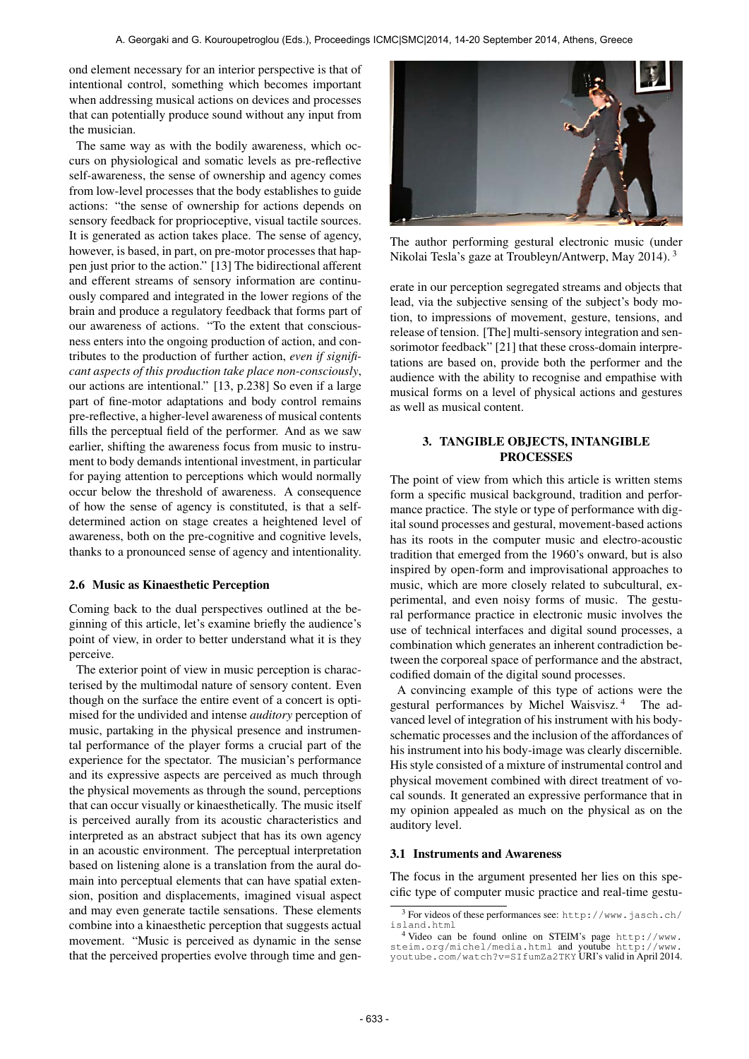ond element necessary for an interior perspective is that of intentional control, something which becomes important when addressing musical actions on devices and processes that can potentially produce sound without any input from the musician.

The same way as with the bodily awareness, which occurs on physiological and somatic levels as pre-reflective self-awareness, the sense of ownership and agency comes from low-level processes that the body establishes to guide actions: "the sense of ownership for actions depends on sensory feedback for proprioceptive, visual tactile sources. It is generated as action takes place. The sense of agency, however, is based, in part, on pre-motor processes that happen just prior to the action." [13] The bidirectional afferent and efferent streams of sensory information are continuously compared and integrated in the lower regions of the brain and produce a regulatory feedback that forms part of our awareness of actions. "To the extent that consciousness enters into the ongoing production of action, and contributes to the production of further action, *even if significant aspects of this production take place non-consciously*, our actions are intentional." [13, p.238] So even if a large part of fine-motor adaptations and body control remains pre-reflective, a higher-level awareness of musical contents fills the perceptual field of the performer. And as we saw earlier, shifting the awareness focus from music to instrument to body demands intentional investment, in particular for paying attention to perceptions which would normally occur below the threshold of awareness. A consequence of how the sense of agency is constituted, is that a selfdetermined action on stage creates a heightened level of awareness, both on the pre-cognitive and cognitive levels, thanks to a pronounced sense of agency and intentionality.

## 2.6 Music as Kinaesthetic Perception

Coming back to the dual perspectives outlined at the beginning of this article, let's examine briefly the audience's point of view, in order to better understand what it is they perceive.

The exterior point of view in music perception is characterised by the multimodal nature of sensory content. Even though on the surface the entire event of a concert is optimised for the undivided and intense *auditory* perception of music, partaking in the physical presence and instrumental performance of the player forms a crucial part of the experience for the spectator. The musician's performance and its expressive aspects are perceived as much through the physical movements as through the sound, perceptions that can occur visually or kinaesthetically. The music itself is perceived aurally from its acoustic characteristics and interpreted as an abstract subject that has its own agency in an acoustic environment. The perceptual interpretation based on listening alone is a translation from the aural domain into perceptual elements that can have spatial extension, position and displacements, imagined visual aspect and may even generate tactile sensations. These elements combine into a kinaesthetic perception that suggests actual movement. "Music is perceived as dynamic in the sense that the perceived properties evolve through time and gen-



The author performing gestural electronic music (under Nikolai Tesla's gaze at Troubleyn/Antwerp, May 2014). 3

erate in our perception segregated streams and objects that lead, via the subjective sensing of the subject's body motion, to impressions of movement, gesture, tensions, and release of tension. [The] multi-sensory integration and sensorimotor feedback" [21] that these cross-domain interpretations are based on, provide both the performer and the audience with the ability to recognise and empathise with musical forms on a level of physical actions and gestures as well as musical content.

# 3. TANGIBLE OBJECTS, INTANGIBLE **PROCESSES**

The point of view from which this article is written stems form a specific musical background, tradition and performance practice. The style or type of performance with digital sound processes and gestural, movement-based actions has its roots in the computer music and electro-acoustic tradition that emerged from the 1960's onward, but is also inspired by open-form and improvisational approaches to music, which are more closely related to subcultural, experimental, and even noisy forms of music. The gestural performance practice in electronic music involves the use of technical interfaces and digital sound processes, a combination which generates an inherent contradiction between the corporeal space of performance and the abstract, codified domain of the digital sound processes.

A convincing example of this type of actions were the gestural performances by Michel Waisvisz. 4 The advanced level of integration of his instrument with his bodyschematic processes and the inclusion of the affordances of his instrument into his body-image was clearly discernible. His style consisted of a mixture of instrumental control and physical movement combined with direct treatment of vocal sounds. It generated an expressive performance that in my opinion appealed as much on the physical as on the auditory level.

### 3.1 Instruments and Awareness

The focus in the argument presented her lies on this specific type of computer music practice and real-time gestu-

<sup>3</sup> For videos of these performances see: [http://www.jasch.ch/](http://www.jasch.ch/island.html) [island.html](http://www.jasch.ch/island.html)

<sup>4</sup> Video can be found online on STEIM's page [http://www.](http://www.steim.org/michel/media.html) [steim.org/michel/media.html](http://www.steim.org/michel/media.html) and youtube [http://www.](http://www.youtube.com/watch?v=SIfumZa2TKY) [youtube.com/watch?v=SIfumZa2TKY](http://www.youtube.com/watch?v=SIfumZa2TKY) URI's valid in April 2014.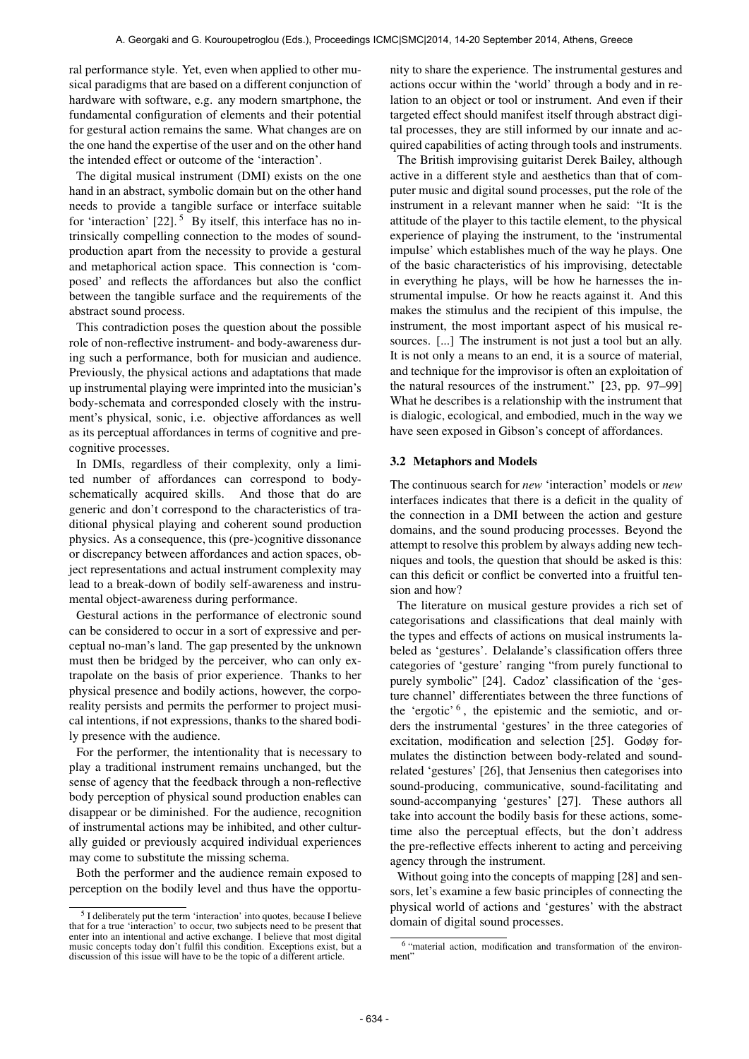ral performance style. Yet, even when applied to other musical paradigms that are based on a different conjunction of hardware with software, e.g. any modern smartphone, the fundamental configuration of elements and their potential for gestural action remains the same. What changes are on the one hand the expertise of the user and on the other hand the intended effect or outcome of the 'interaction'.

The digital musical instrument (DMI) exists on the one hand in an abstract, symbolic domain but on the other hand needs to provide a tangible surface or interface suitable for 'interaction'  $[22]$ .<sup>5</sup> By itself, this interface has no intrinsically compelling connection to the modes of soundproduction apart from the necessity to provide a gestural and metaphorical action space. This connection is 'composed' and reflects the affordances but also the conflict between the tangible surface and the requirements of the abstract sound process.

This contradiction poses the question about the possible role of non-reflective instrument- and body-awareness during such a performance, both for musician and audience. Previously, the physical actions and adaptations that made up instrumental playing were imprinted into the musician's body-schemata and corresponded closely with the instrument's physical, sonic, i.e. objective affordances as well as its perceptual affordances in terms of cognitive and precognitive processes.

In DMIs, regardless of their complexity, only a limited number of affordances can correspond to bodyschematically acquired skills. And those that do are generic and don't correspond to the characteristics of traditional physical playing and coherent sound production physics. As a consequence, this (pre-)cognitive dissonance or discrepancy between affordances and action spaces, object representations and actual instrument complexity may lead to a break-down of bodily self-awareness and instrumental object-awareness during performance.

Gestural actions in the performance of electronic sound can be considered to occur in a sort of expressive and perceptual no-man's land. The gap presented by the unknown must then be bridged by the perceiver, who can only extrapolate on the basis of prior experience. Thanks to her physical presence and bodily actions, however, the corporeality persists and permits the performer to project musical intentions, if not expressions, thanks to the shared bodily presence with the audience.

For the performer, the intentionality that is necessary to play a traditional instrument remains unchanged, but the sense of agency that the feedback through a non-reflective body perception of physical sound production enables can disappear or be diminished. For the audience, recognition of instrumental actions may be inhibited, and other culturally guided or previously acquired individual experiences may come to substitute the missing schema.

Both the performer and the audience remain exposed to perception on the bodily level and thus have the opportunity to share the experience. The instrumental gestures and actions occur within the 'world' through a body and in relation to an object or tool or instrument. And even if their targeted effect should manifest itself through abstract digital processes, they are still informed by our innate and acquired capabilities of acting through tools and instruments.

The British improvising guitarist Derek Bailey, although active in a different style and aesthetics than that of computer music and digital sound processes, put the role of the instrument in a relevant manner when he said: "It is the attitude of the player to this tactile element, to the physical experience of playing the instrument, to the 'instrumental impulse' which establishes much of the way he plays. One of the basic characteristics of his improvising, detectable in everything he plays, will be how he harnesses the instrumental impulse. Or how he reacts against it. And this makes the stimulus and the recipient of this impulse, the instrument, the most important aspect of his musical resources. [...] The instrument is not just a tool but an ally. It is not only a means to an end, it is a source of material, and technique for the improvisor is often an exploitation of the natural resources of the instrument." [23, pp. 97–99] What he describes is a relationship with the instrument that is dialogic, ecological, and embodied, much in the way we have seen exposed in Gibson's concept of affordances.

# 3.2 Metaphors and Models

The continuous search for *new* 'interaction' models or *new* interfaces indicates that there is a deficit in the quality of the connection in a DMI between the action and gesture domains, and the sound producing processes. Beyond the attempt to resolve this problem by always adding new techniques and tools, the question that should be asked is this: can this deficit or conflict be converted into a fruitful tension and how?

The literature on musical gesture provides a rich set of categorisations and classifications that deal mainly with the types and effects of actions on musical instruments labeled as 'gestures'. Delalande's classification offers three categories of 'gesture' ranging "from purely functional to purely symbolic" [24]. Cadoz' classification of the 'gesture channel' differentiates between the three functions of the 'ergotic' 6 , the epistemic and the semiotic, and orders the instrumental 'gestures' in the three categories of excitation, modification and selection [25]. Godøy formulates the distinction between body-related and soundrelated 'gestures' [26], that Jensenius then categorises into sound-producing, communicative, sound-facilitating and sound-accompanying 'gestures' [27]. These authors all take into account the bodily basis for these actions, sometime also the perceptual effects, but the don't address the pre-reflective effects inherent to acting and perceiving agency through the instrument.

Without going into the concepts of mapping [28] and sensors, let's examine a few basic principles of connecting the physical world of actions and 'gestures' with the abstract domain of digital sound processes.

<sup>&</sup>lt;sup>5</sup> I deliberately put the term 'interaction' into quotes, because I believe that for a true 'interaction' to occur, two subjects need to be present that enter into an intentional and active exchange. I believe that most digital music concepts today don't fulfil this condition. Exceptions exist, but a discussion of this issue will have to be the topic of a different article.

<sup>6</sup> "material action, modification and transformation of the environment"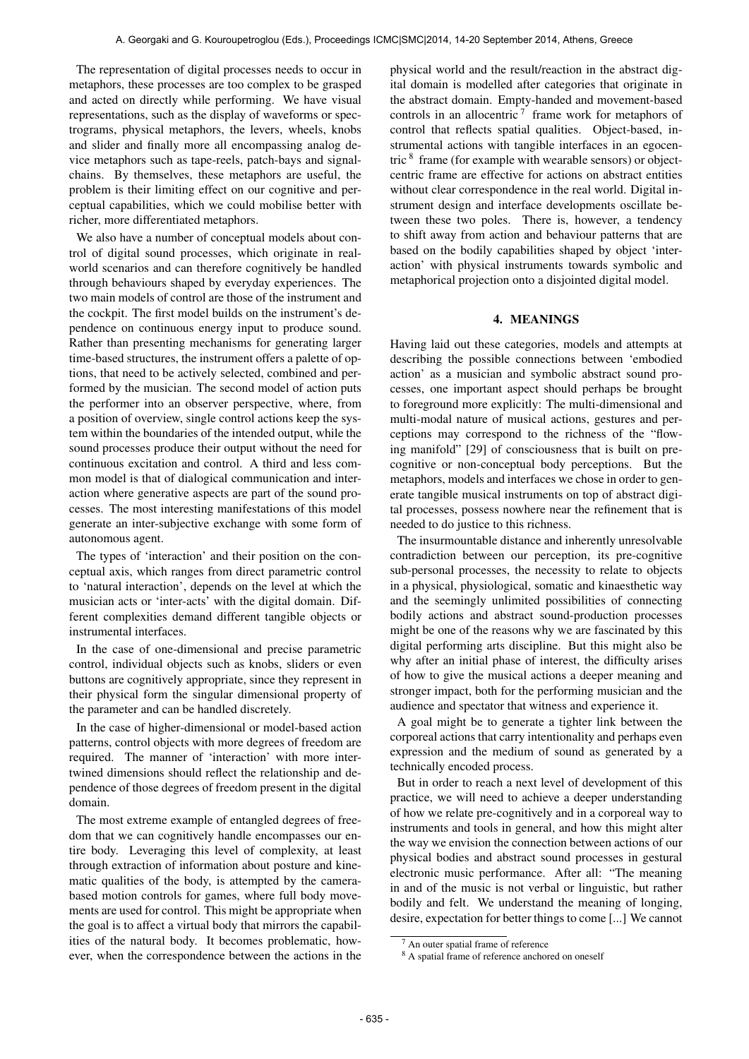The representation of digital processes needs to occur in metaphors, these processes are too complex to be grasped and acted on directly while performing. We have visual representations, such as the display of waveforms or spectrograms, physical metaphors, the levers, wheels, knobs and slider and finally more all encompassing analog device metaphors such as tape-reels, patch-bays and signalchains. By themselves, these metaphors are useful, the problem is their limiting effect on our cognitive and perceptual capabilities, which we could mobilise better with richer, more differentiated metaphors.

We also have a number of conceptual models about control of digital sound processes, which originate in realworld scenarios and can therefore cognitively be handled through behaviours shaped by everyday experiences. The two main models of control are those of the instrument and the cockpit. The first model builds on the instrument's dependence on continuous energy input to produce sound. Rather than presenting mechanisms for generating larger time-based structures, the instrument offers a palette of options, that need to be actively selected, combined and performed by the musician. The second model of action puts the performer into an observer perspective, where, from a position of overview, single control actions keep the system within the boundaries of the intended output, while the sound processes produce their output without the need for continuous excitation and control. A third and less common model is that of dialogical communication and interaction where generative aspects are part of the sound processes. The most interesting manifestations of this model generate an inter-subjective exchange with some form of autonomous agent.

The types of 'interaction' and their position on the conceptual axis, which ranges from direct parametric control to 'natural interaction', depends on the level at which the musician acts or 'inter-acts' with the digital domain. Different complexities demand different tangible objects or instrumental interfaces.

In the case of one-dimensional and precise parametric control, individual objects such as knobs, sliders or even buttons are cognitively appropriate, since they represent in their physical form the singular dimensional property of the parameter and can be handled discretely.

In the case of higher-dimensional or model-based action patterns, control objects with more degrees of freedom are required. The manner of 'interaction' with more intertwined dimensions should reflect the relationship and dependence of those degrees of freedom present in the digital domain.

The most extreme example of entangled degrees of freedom that we can cognitively handle encompasses our entire body. Leveraging this level of complexity, at least through extraction of information about posture and kinematic qualities of the body, is attempted by the camerabased motion controls for games, where full body movements are used for control. This might be appropriate when the goal is to affect a virtual body that mirrors the capabilities of the natural body. It becomes problematic, however, when the correspondence between the actions in the physical world and the result/reaction in the abstract digital domain is modelled after categories that originate in the abstract domain. Empty-handed and movement-based controls in an allocentric<sup>7</sup> frame work for metaphors of control that reflects spatial qualities. Object-based, instrumental actions with tangible interfaces in an egocentric <sup>8</sup> frame (for example with wearable sensors) or objectcentric frame are effective for actions on abstract entities without clear correspondence in the real world. Digital instrument design and interface developments oscillate between these two poles. There is, however, a tendency to shift away from action and behaviour patterns that are based on the bodily capabilities shaped by object 'interaction' with physical instruments towards symbolic and metaphorical projection onto a disjointed digital model.

#### 4. MEANINGS

Having laid out these categories, models and attempts at describing the possible connections between 'embodied action' as a musician and symbolic abstract sound processes, one important aspect should perhaps be brought to foreground more explicitly: The multi-dimensional and multi-modal nature of musical actions, gestures and perceptions may correspond to the richness of the "flowing manifold" [29] of consciousness that is built on precognitive or non-conceptual body perceptions. But the metaphors, models and interfaces we chose in order to generate tangible musical instruments on top of abstract digital processes, possess nowhere near the refinement that is needed to do justice to this richness.

The insurmountable distance and inherently unresolvable contradiction between our perception, its pre-cognitive sub-personal processes, the necessity to relate to objects in a physical, physiological, somatic and kinaesthetic way and the seemingly unlimited possibilities of connecting bodily actions and abstract sound-production processes might be one of the reasons why we are fascinated by this digital performing arts discipline. But this might also be why after an initial phase of interest, the difficulty arises of how to give the musical actions a deeper meaning and stronger impact, both for the performing musician and the audience and spectator that witness and experience it.

A goal might be to generate a tighter link between the corporeal actions that carry intentionality and perhaps even expression and the medium of sound as generated by a technically encoded process.

But in order to reach a next level of development of this practice, we will need to achieve a deeper understanding of how we relate pre-cognitively and in a corporeal way to instruments and tools in general, and how this might alter the way we envision the connection between actions of our physical bodies and abstract sound processes in gestural electronic music performance. After all: "The meaning in and of the music is not verbal or linguistic, but rather bodily and felt. We understand the meaning of longing, desire, expectation for better things to come [...] We cannot

An outer spatial frame of reference

<sup>&</sup>lt;sup>8</sup> A spatial frame of reference anchored on oneself